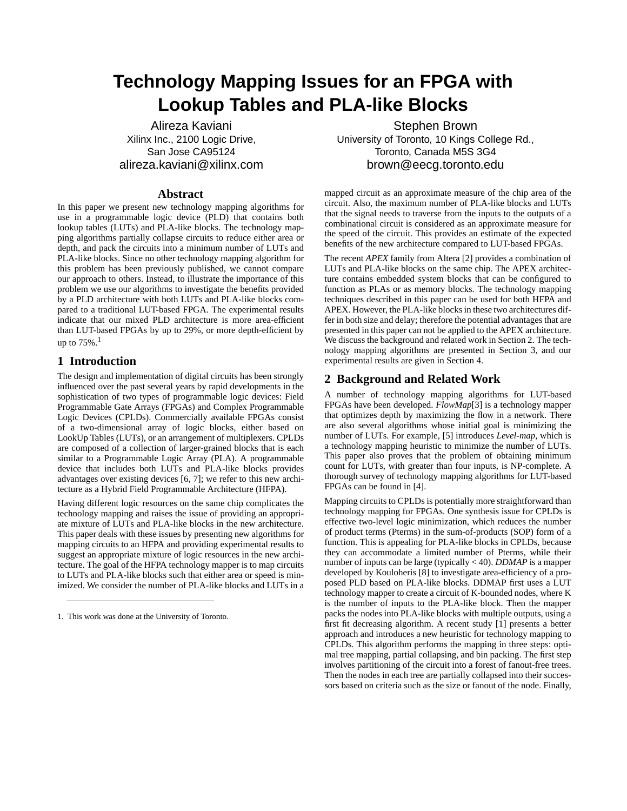# **Technology Mapping Issues for an FPGA with Lookup Tables and PLA-like Blocks**

Alireza Kaviani Xilinx Inc., 2100 Logic Drive, San Jose CA95124 alireza.kaviani@xilinx.com

#### **Abstract**

In this paper we present new technology mapping algorithms for use in a programmable logic device (PLD) that contains both lookup tables (LUTs) and PLA-like blocks. The technology mapping algorithms partially collapse circuits to reduce either area or depth, and pack the circuits into a minimum number of LUTs and PLA-like blocks. Since no other technology mapping algorithm for this problem has been previously published, we cannot compare our approach to others. Instead, to illustrate the importance of this problem we use our algorithms to investigate the benefits provided by a PLD architecture with both LUTs and PLA-like blocks compared to a traditional LUT-based FPGA. The experimental results indicate that our mixed PLD architecture is more area-efficient than LUT-based FPGAs by up to 29%, or more depth-efficient by up to  $75\%$ .<sup>1</sup>

## **1 Introduction**

The design and implementation of digital circuits has been strongly influenced over the past several years by rapid developments in the sophistication of two types of programmable logic devices: Field Programmable Gate Arrays (FPGAs) and Complex Programmable Logic Devices (CPLDs). Commercially available FPGAs consist of a two-dimensional array of logic blocks, either based on LookUp Tables (LUTs), or an arrangement of multiplexers. CPLDs are composed of a collection of larger-grained blocks that is each similar to a Programmable Logic Array (PLA). A programmable device that includes both LUTs and PLA-like blocks provides advantages over existing devices [6, 7]; we refer to this new architecture as a Hybrid Field Programmable Architecture (HFPA).

Having different logic resources on the same chip complicates the technology mapping and raises the issue of providing an appropriate mixture of LUTs and PLA-like blocks in the new architecture. This paper deals with these issues by presenting new algorithms for mapping circuits to an HFPA and providing experimental results to suggest an appropriate mixture of logic resources in the new architecture. The goal of the HFPA technology mapper is to map circuits to LUTs and PLA-like blocks such that either area or speed is minimized. We consider the number of PLA-like blocks and LUTs in a

Stephen Brown University of Toronto, 10 Kings College Rd., Toronto, Canada M5S 3G4 brown@eecg.toronto.edu

mapped circuit as an approximate measure of the chip area of the circuit. Also, the maximum number of PLA-like blocks and LUTs that the signal needs to traverse from the inputs to the outputs of a combinational circuit is considered as an approximate measure for the speed of the circuit. This provides an estimate of the expected benefits of the new architecture compared to LUT-based FPGAs.

The recent *APEX* family from Altera [2] provides a combination of LUTs and PLA-like blocks on the same chip. The APEX architecture contains embedded system blocks that can be configured to function as PLAs or as memory blocks. The technology mapping techniques described in this paper can be used for both HFPA and APEX. However, the PLA-like blocks in these two architectures differ in both size and delay; therefore the potential advantages that are presented in this paper can not be applied to the APEX architecture. We discuss the background and related work in Section 2. The technology mapping algorithms are presented in Section 3, and our experimental results are given in Section 4.

## **2 Background and Related Work**

A number of technology mapping algorithms for LUT-based FPGAs have been developed. *FlowMap*[3] is a technology mapper that optimizes depth by maximizing the flow in a network. There are also several algorithms whose initial goal is minimizing the number of LUTs. For example, [5] introduces *Level-map,* which is a technology mapping heuristic to minimize the number of LUTs. This paper also proves that the problem of obtaining minimum count for LUTs, with greater than four inputs, is NP-complete. A thorough survey of technology mapping algorithms for LUT-based FPGAs can be found in [4].

Mapping circuits to CPLDs is potentially more straightforward than technology mapping for FPGAs. One synthesis issue for CPLDs is effective two-level logic minimization, which reduces the number of product terms (Pterms) in the sum-of-products (SOP) form of a function. This is appealing for PLA-like blocks in CPLDs, because they can accommodate a limited number of Pterms, while their number of inputs can be large (typically < 40). *DDMAP* is a mapper developed by Kouloheris [8] to investigate area-efficiency of a proposed PLD based on PLA-like blocks. DDMAP first uses a LUT technology mapper to create a circuit of K-bounded nodes, where K is the number of inputs to the PLA-like block. Then the mapper packs the nodes into PLA-like blocks with multiple outputs, using a first fit decreasing algorithm. A recent study [1] presents a better approach and introduces a new heuristic for technology mapping to CPLDs. This algorithm performs the mapping in three steps: optimal tree mapping, partial collapsing, and bin packing. The first step involves partitioning of the circuit into a forest of fanout-free trees. Then the nodes in each tree are partially collapsed into their successors based on criteria such as the size or fanout of the node. Finally,

<sup>1.</sup> This work was done at the University of Toronto.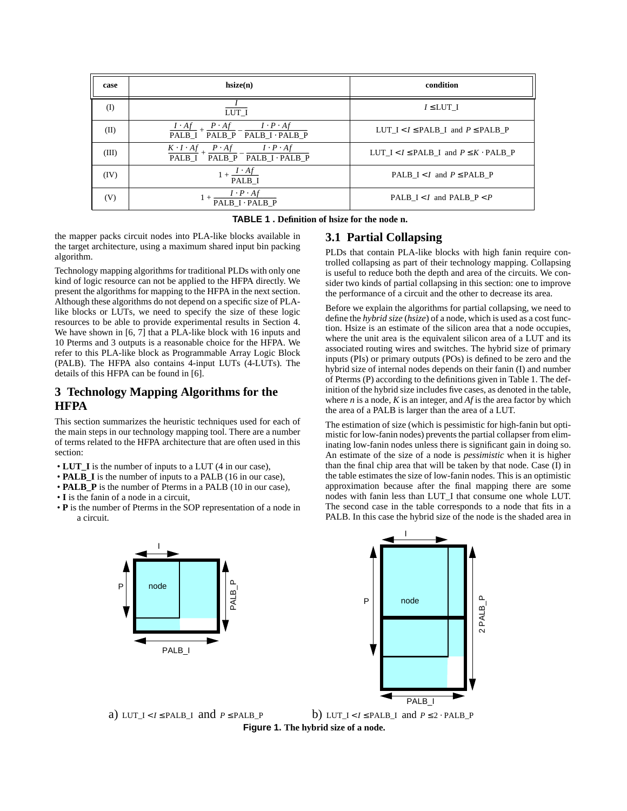| case      | hsize(n)                                                                                                                                 | condition                                           |
|-----------|------------------------------------------------------------------------------------------------------------------------------------------|-----------------------------------------------------|
| $\rm (I)$ | LUT I                                                                                                                                    | $I \leq LUT$ I                                      |
| (II)      | $\frac{I \cdot Af}{\text{PALB\_I}} + \frac{P \cdot Af}{\text{PALB\_P}} - \frac{I \cdot P \cdot Af}{\text{PALB\_I} \cdot \text{PALB\_P}}$ | LUT $I < I \leq PALB$ I and $P \leq PALB$ P         |
| (III)     | $K \cdot I \cdot Af$ $P \cdot Af$ $I \cdot P \cdot Af$<br>PALB_I PALB_P PALB_I PALB_P                                                    | LUT $I < I \leq PALB$ I and $P \leq K \cdot PALB$ P |
| (IV)      | $1 + \frac{I \cdot Af}{\text{PALB\_I}}$                                                                                                  | PALB $I < I$ and $P \leq$ PALB P                    |
| (V)       | $I \cdot P \cdot Af$<br>$\overline{PALB_I} \cdot PALB_P$                                                                                 | PALB $I < I$ and PALB $P < P$                       |

**TABLE 1 . Definition of hsize for the node n.**

the mapper packs circuit nodes into PLA-like blocks available in the target architecture, using a maximum shared input bin packing algorithm.

Technology mapping algorithms for traditional PLDs with only one kind of logic resource can not be applied to the HFPA directly. We present the algorithms for mapping to the HFPA in the next section. Although these algorithms do not depend on a specific size of PLAlike blocks or LUTs, we need to specify the size of these logic resources to be able to provide experimental results in Section 4. We have shown in [6, 7] that a PLA-like block with 16 inputs and 10 Pterms and 3 outputs is a reasonable choice for the HFPA. We refer to this PLA-like block as Programmable Array Logic Block (PALB). The HFPA also contains 4-input LUTs (4-LUTs). The details of this HFPA can be found in [6].

# **3 Technology Mapping Algorithms for the HFPA**

This section summarizes the heuristic techniques used for each of the main steps in our technology mapping tool. There are a number of terms related to the HFPA architecture that are often used in this section:

- **LUT\_I** is the number of inputs to a LUT (4 in our case),
- **PALB\_I** is the number of inputs to a PALB (16 in our case),
- **PALB P** is the number of Pterms in a PALB (10 in our case),
- **I** is the fanin of a node in a circuit,
- **P** is the number of Pterms in the SOP representation of a node in a circuit.



a)  $LUT_I < I \leq PALB_I$  and  $P \leq PALB_P$ 

# **3.1 Partial Collapsing**

PLDs that contain PLA-like blocks with high fanin require controlled collapsing as part of their technology mapping. Collapsing is useful to reduce both the depth and area of the circuits. We consider two kinds of partial collapsing in this section: one to improve the performance of a circuit and the other to decrease its area.

Before we explain the algorithms for partial collapsing, we need to define the *hybrid size* (*hsize*) of a node, which is used as a cost function. Hsize is an estimate of the silicon area that a node occupies, where the unit area is the equivalent silicon area of a LUT and its associated routing wires and switches. The hybrid size of primary inputs (PIs) or primary outputs (POs) is defined to be zero and the hybrid size of internal nodes depends on their fanin (I) and number of Pterms (P) according to the definitions given in Table 1. The definition of the hybrid size includes five cases, as denoted in the table, where *n* is a node, *K* is an integer, and *Af* is the area factor by which the area of a PALB is larger than the area of a LUT.

The estimation of size (which is pessimistic for high-fanin but optimistic for low-fanin nodes) prevents the partial collapser from eliminating low-fanin nodes unless there is significant gain in doing so. An estimate of the size of a node is *pessimistic* when it is higher than the final chip area that will be taken by that node. Case (I) in the table estimates the size of low-fanin nodes. This is an optimistic approximation because after the final mapping there are some nodes with fanin less than LUT\_I that consume one whole LUT. The second case in the table corresponds to a node that fits in a PALB. In this case the hybrid size of the node is the shaded area in



**Figure 1. The hybrid size of a node.**  $b)$  LUT\_ $I < I \leq PALB$ <sub>L</sub> and  $P \leq 2 \cdot PALB$ <sub>P</sub>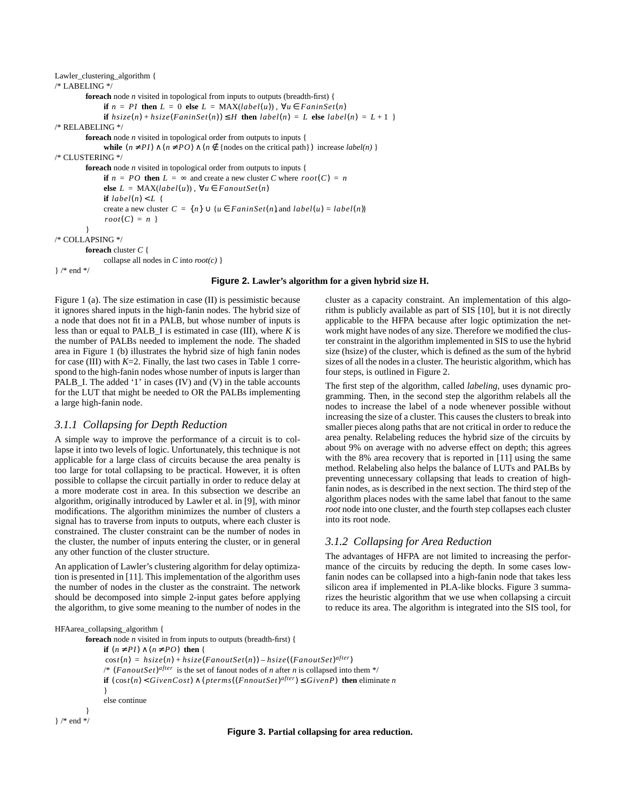```
Lawler_clustering_algorithm {
/* LABELING */
         foreach node n visited in topological from inputs to outputs (breadth-first) {
               if n = PI then L = 0 else L = MAX(label(u)), \forall u \in FainISet(n)if hsize(n) + hsize(FaninSet(n)) \leq H then label(n) = L else label(n) = L + 1 }
/* RELABELING */
         foreach node n visited in topological order from outputs to inputs {
               while (n ≠ PI) \land (n ≠ PO) \land (n \notin \{nodes \ on \ the \ critical \ path\}) increase label(n)}
/* CLUSTERING */
         foreach node n visited in topological order from outputs to inputs {
               if n = PO then L = \infty and create a new cluster C where root(C) = n\textbf{else } L = \text{MAX}(label(u)), \forall u \in \text{FanoutSet}(n)if label(n) < L {
               create a new cluster C = \{n\} \cup \{u \in F_{\text{aninSet}(n)}\} and \text{label}(u) = \text{label}(n)root(C) = n}
          }
/* COLLAPSING */
         foreach cluster C {
               collapse all nodes in C into root(c) }
} /* end */
```
**Figure 2. Lawler's algorithm for a given hybrid size H.**

Figure 1 (a). The size estimation in case (II) is pessimistic because it ignores shared inputs in the high-fanin nodes. The hybrid size of a node that does not fit in a PALB, but whose number of inputs is less than or equal to PALB\_I is estimated in case (III), where *K* is the number of PALBs needed to implement the node. The shaded area in Figure 1 (b) illustrates the hybrid size of high fanin nodes for case (III) with  $K=2$ . Finally, the last two cases in Table 1 correspond to the high-fanin nodes whose number of inputs is larger than PALB<sub>I</sub>. The added '1' in cases (IV) and (V) in the table accounts for the LUT that might be needed to OR the PALBs implementing a large high-fanin node.

## *3.1.1 Collapsing for Depth Reduction*

A simple way to improve the performance of a circuit is to collapse it into two levels of logic. Unfortunately, this technique is not applicable for a large class of circuits because the area penalty is too large for total collapsing to be practical. However, it is often possible to collapse the circuit partially in order to reduce delay at a more moderate cost in area. In this subsection we describe an algorithm, originally introduced by Lawler et al. in [9], with minor modifications. The algorithm minimizes the number of clusters a signal has to traverse from inputs to outputs, where each cluster is constrained. The cluster constraint can be the number of nodes in the cluster, the number of inputs entering the cluster, or in general any other function of the cluster structure.

An application of Lawler's clustering algorithm for delay optimization is presented in [11]. This implementation of the algorithm uses the number of nodes in the cluster as the constraint. The network should be decomposed into simple 2-input gates before applying the algorithm, to give some meaning to the number of nodes in the

```
cluster as a capacity constraint. An implementation of this algo-
rithm is publicly available as part of SIS [10], but it is not directly
applicable to the HFPA because after logic optimization the net-
work might have nodes of any size. Therefore we modified the clus-
ter constraint in the algorithm implemented in SIS to use the hybrid
size (hsize) of the cluster, which is defined as the sum of the hybrid
sizes of all the nodes in a cluster. The heuristic algorithm, which has
four steps, is outlined in Figure 2.
```
The first step of the algorithm, called *labeling*, uses dynamic programming. Then, in the second step the algorithm relabels all the nodes to increase the label of a node whenever possible without increasing the size of a cluster. This causes the clusters to break into smaller pieces along paths that are not critical in order to reduce the area penalty. Relabeling reduces the hybrid size of the circuits by about 9% on average with no adverse effect on depth; this agrees with the 8% area recovery that is reported in [11] using the same method. Relabeling also helps the balance of LUTs and PALBs by preventing unnecessary collapsing that leads to creation of highfanin nodes, as is described in the next section. The third step of the algorithm places nodes with the same label that fanout to the same *root* node into one cluster, and the fourth step collapses each cluster into its root node.

# *3.1.2 Collapsing for Area Reduction*

The advantages of HFPA are not limited to increasing the performance of the circuits by reducing the depth. In some cases lowfanin nodes can be collapsed into a high-fanin node that takes less silicon area if implemented in PLA-like blocks. Figure 3 summarizes the heuristic algorithm that we use when collapsing a circuit to reduce its area. The algorithm is integrated into the SIS tool, for

```
HFAarea_collapsing_algorithm {
            foreach node n visited in from inputs to outputs (breadth-first) {
                    if (n \neq PI) \land (n \neq PO) then {
                    \sqrt{\frac{k}{r}} (FanoutSet)<sup>after</sup> is the set of fanout nodes of n after n is collapsed into them */
                    if (\cos t(n) < \text{Given} \text{Cost}) \wedge (\text{pterms}((\text{FnnoutSet})^{after}) \leq \text{Given} \text{P}) then eliminate n
                    }
                   else continue
            }
} /* end */
                    \cos t(n) = \frac{hsize(n) + \frac{hsize(FanoutSet(n)) - \frac{hsize((FanoutSet)^{after})}{hsize(fear)}}{hsize(fear)}
```
#### **Figure 3. Partial collapsing for area reduction.**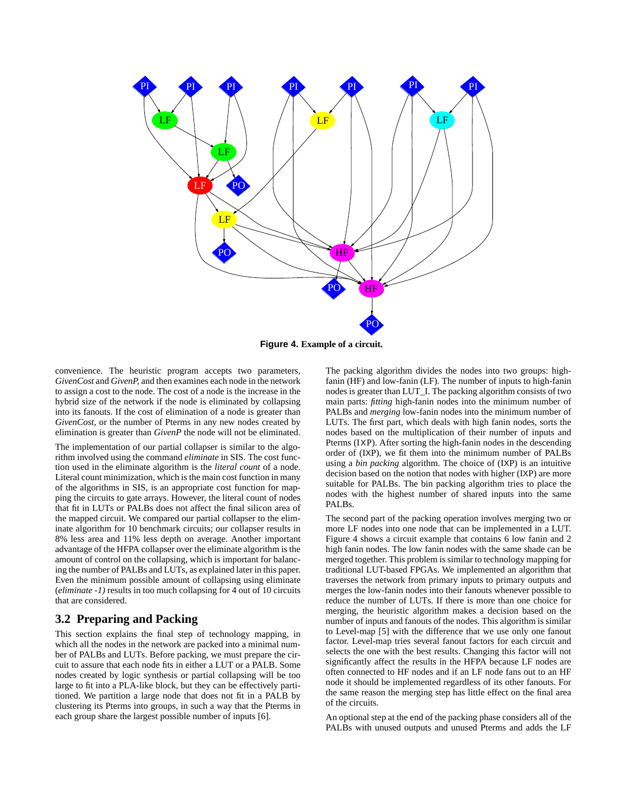

**Figure 4. Example of a circuit.**

convenience. The heuristic program accepts two parameters, *GivenCost* and *GivenP,* and then examines each node in the network to assign a cost to the node. The cost of a node is the increase in the hybrid size of the network if the node is eliminated by collapsing into its fanouts. If the cost of elimination of a node is greater than *GivenCost,* or the number of Pterms in any new nodes created by elimination is greater than *GivenP* the node will not be eliminated.

The implementation of our partial collapser is similar to the algorithm involved using the command *eliminate* in SIS. The cost function used in the eliminate algorithm is the *literal count* of a node. Literal count minimization, which is the main cost function in many of the algorithms in SIS, is an appropriate cost function for mapping the circuits to gate arrays. However, the literal count of nodes that fit in LUTs or PALBs does not affect the final silicon area of the mapped circuit. We compared our partial collapser to the eliminate algorithm for 10 benchmark circuits; our collapser results in 8% less area and 11% less depth on average. Another important advantage of the HFPA collapser over the eliminate algorithm is the amount of control on the collapsing, which is important for balancing the number of PALBs and LUTs, as explained later in this paper. Even the minimum possible amount of collapsing using eliminate (*eliminate -1)* results in too much collapsing for 4 out of 10 circuits that are considered.

# **3.2 Preparing and Packing**

This section explains the final step of technology mapping, in which all the nodes in the network are packed into a minimal number of PALBs and LUTs. Before packing, we must prepare the circuit to assure that each node fits in either a LUT or a PALB. Some nodes created by logic synthesis or partial collapsing will be too large to fit into a PLA-like block, but they can be effectively partitioned. We partition a large node that does not fit in a PALB by clustering its Pterms into groups, in such a way that the Pterms in each group share the largest possible number of inputs [6].

The packing algorithm divides the nodes into two groups: highfanin (HF) and low-fanin (LF). The number of inputs to high-fanin nodes is greater than LUT\_I. The packing algorithm consists of two main parts: *fitting* high-fanin nodes into the minimum number of PALBs and *merging* low-fanin nodes into the minimum number of LUTs. The first part, which deals with high fanin nodes, sorts the nodes based on the multiplication of their number of inputs and Pterms (IXP). After sorting the high-fanin nodes in the descending order of (IXP), we fit them into the minimum number of PALBs using a *bin packing* algorithm. The choice of (IXP) is an intuitive decision based on the notion that nodes with higher (IXP) are more suitable for PALBs. The bin packing algorithm tries to place the nodes with the highest number of shared inputs into the same PALBs.

The second part of the packing operation involves merging two or more LF nodes into one node that can be implemented in a LUT. Figure 4 shows a circuit example that contains 6 low fanin and 2 high fanin nodes. The low fanin nodes with the same shade can be merged together. This problem is similar to technology mapping for traditional LUT-based FPGAs. We implemented an algorithm that traverses the network from primary inputs to primary outputs and merges the low-fanin nodes into their fanouts whenever possible to reduce the number of LUTs. If there is more than one choice for merging, the heuristic algorithm makes a decision based on the number of inputs and fanouts of the nodes. This algorithm is similar to Level-map [5] with the difference that we use only one fanout factor. Level-map tries several fanout factors for each circuit and selects the one with the best results. Changing this factor will not significantly affect the results in the HFPA because LF nodes are often connected to HF nodes and if an LF node fans out to an HF node it should be implemented regardless of its other fanouts. For the same reason the merging step has little effect on the final area of the circuits.

An optional step at the end of the packing phase considers all of the PALBs with unused outputs and unused Pterms and adds the LF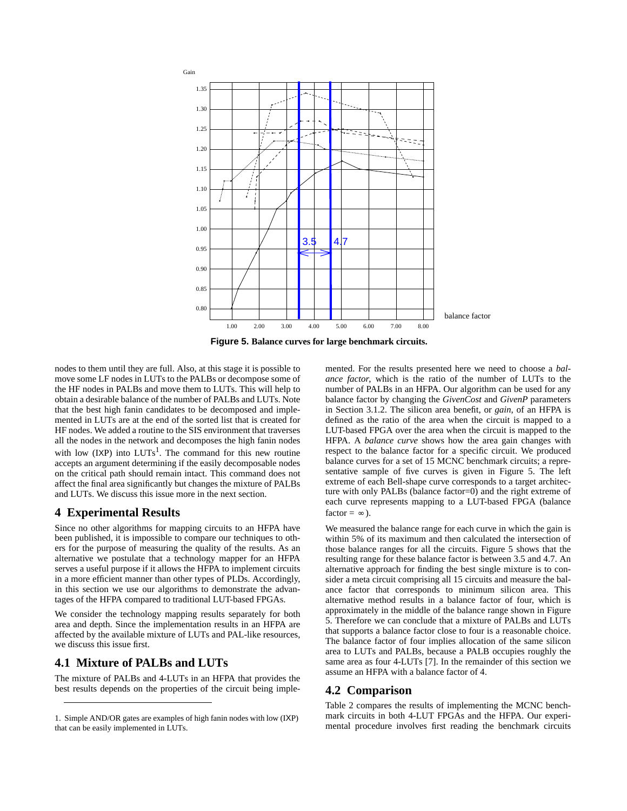

**Figure 5. Balance curves for large benchmark circuits.**

nodes to them until they are full. Also, at this stage it is possible to move some LF nodes in LUTs to the PALBs or decompose some of the HF nodes in PALBs and move them to LUTs. This will help to obtain a desirable balance of the number of PALBs and LUTs. Note that the best high fanin candidates to be decomposed and implemented in LUTs are at the end of the sorted list that is created for HF nodes. We added a routine to the SIS environment that traverses all the nodes in the network and decomposes the high fanin nodes with low  $(IXP)$  into  $LUTs<sup>1</sup>$ . The command for this new routine accepts an argument determining if the easily decomposable nodes on the critical path should remain intact. This command does not affect the final area significantly but changes the mixture of PALBs and LUTs. We discuss this issue more in the next section.

## **4 Experimental Results**

Since no other algorithms for mapping circuits to an HFPA have been published, it is impossible to compare our techniques to others for the purpose of measuring the quality of the results. As an alternative we postulate that a technology mapper for an HFPA serves a useful purpose if it allows the HFPA to implement circuits in a more efficient manner than other types of PLDs. Accordingly, in this section we use our algorithms to demonstrate the advantages of the HFPA compared to traditional LUT-based FPGAs.

We consider the technology mapping results separately for both area and depth. Since the implementation results in an HFPA are affected by the available mixture of LUTs and PAL-like resources, we discuss this issue first.

# **4.1 Mixture of PALBs and LUTs**

The mixture of PALBs and 4-LUTs in an HFPA that provides the best results depends on the properties of the circuit being implemented. For the results presented here we need to choose a *balance factor*, which is the ratio of the number of LUTs to the number of PALBs in an HFPA. Our algorithm can be used for any balance factor by changing the *GivenCost* and *GivenP* parameters in Section 3.1.2. The silicon area benefit, or *gain*, of an HFPA is defined as the ratio of the area when the circuit is mapped to a LUT-based FPGA over the area when the circuit is mapped to the HFPA. A *balance curve* shows how the area gain changes with respect to the balance factor for a specific circuit. We produced balance curves for a set of 15 MCNC benchmark circuits; a representative sample of five curves is given in Figure 5. The left extreme of each Bell-shape curve corresponds to a target architecture with only PALBs (balance factor=0) and the right extreme of each curve represents mapping to a LUT-based FPGA (balance factor  $= \infty$ ).

We measured the balance range for each curve in which the gain is within 5% of its maximum and then calculated the intersection of those balance ranges for all the circuits. Figure 5 shows that the resulting range for these balance factor is between 3.5 and 4.7. An alternative approach for finding the best single mixture is to consider a meta circuit comprising all 15 circuits and measure the balance factor that corresponds to minimum silicon area. This alternative method results in a balance factor of four, which is approximately in the middle of the balance range shown in Figure 5. Therefore we can conclude that a mixture of PALBs and LUTs that supports a balance factor close to four is a reasonable choice. The balance factor of four implies allocation of the same silicon area to LUTs and PALBs, because a PALB occupies roughly the same area as four 4-LUTs [7]. In the remainder of this section we assume an HFPA with a balance factor of 4.

#### **4.2 Comparison**

Table 2 compares the results of implementing the MCNC benchmark circuits in both 4-LUT FPGAs and the HFPA. Our experi-1. Simple AND/OR gates are examples of high fanin nodes with low (IXP) mark circuits in both 4-LUT FPGAs and the HFPA. Our experi-<br>mental procedure involves first reading the benchmark circuits

that can be easily implemented in LUTs.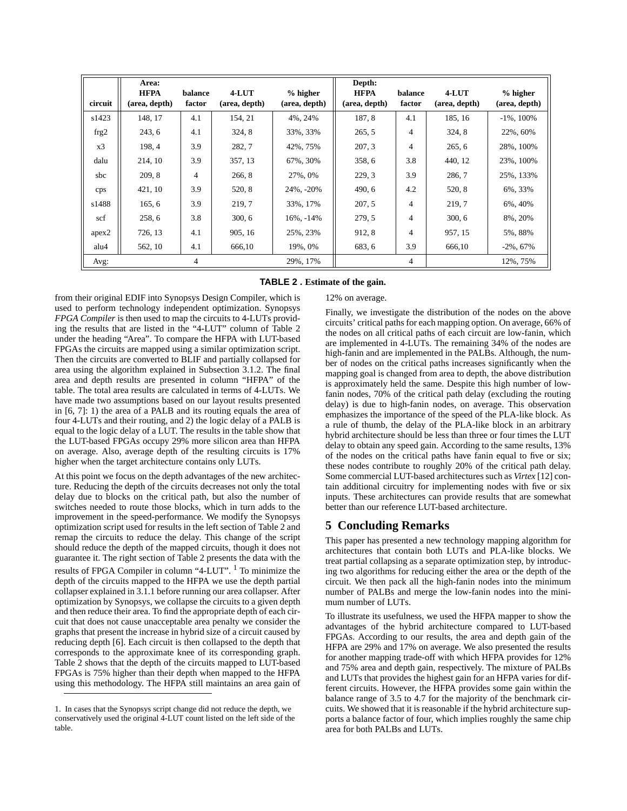| circuit | Area:<br><b>HFPA</b><br>(area, depth) | balance<br>factor | 4-LUT<br>(area, depth) | $%$ higher<br>(area, depth) | Depth:<br><b>HFPA</b><br>(area, depth) | balance<br>factor | $4-LUT$<br>(area, depth) | $%$ higher<br>(area, depth) |
|---------|---------------------------------------|-------------------|------------------------|-----------------------------|----------------------------------------|-------------------|--------------------------|-----------------------------|
| s1423   | 148, 17                               | 4.1               | 154, 21                | 4%, 24%                     | 187, 8                                 | 4.1               | 185, 16                  | $-1\%$ , 100%               |
| frg2    | 243, 6                                | 4.1               | 324, 8                 | 33%, 33%                    | 265, 5                                 | 4                 | 324, 8                   | 22%, 60%                    |
| x3      | 198.4                                 | 3.9               | 282, 7                 | 42%, 75%                    | 207, 3                                 | 4                 | 265, 6                   | 28%, 100%                   |
| dalu    | 214, 10                               | 3.9               | 357, 13                | 67%, 30%                    | 358.6                                  | 3.8               | 440, 12                  | 23%, 100%                   |
| sbc     | 209, 8                                | $\overline{4}$    | 266, 8                 | 27%, 0%                     | 229, 3                                 | 3.9               | 286, 7                   | 25%, 133%                   |
| cps     | 421, 10                               | 3.9               | 520, 8                 | 24%, -20%                   | 490, 6                                 | 4.2               | 520, 8                   | 6%, 33%                     |
| s1488   | 165, 6                                | 3.9               | 219, 7                 | 33%, 17%                    | 207, 5                                 | 4                 | 219.7                    | 6%, 40%                     |
| scf     | 258.6                                 | 3.8               | 300, 6                 | $16\%$ , $-14\%$            | 279, 5                                 | 4                 | 300, 6                   | 8%, 20%                     |
| apex2   | 726, 13                               | 4.1               | 905, 16                | 25%, 23%                    | 912, 8                                 | 4                 | 957, 15                  | 5%, 88%                     |
| alu4    | 562, 10                               | 4.1               | 666,10                 | 19%, 0%                     | 683.6                                  | 3.9               | 666,10                   | $-2\%$ , 67%                |
| Avg:    |                                       | $\overline{4}$    |                        | 29%, 17%                    |                                        | $\overline{4}$    |                          | 12%, 75%                    |

**TABLE 2 . Estimate of the gain.**

from their original EDIF into Synopsys Design Compiler, which is used to perform technology independent optimization. Synopsys *FPGA Compiler* is then used to map the circuits to 4-LUTs providing the results that are listed in the "4-LUT" column of Table 2 under the heading "Area". To compare the HFPA with LUT-based FPGAs the circuits are mapped using a similar optimization script. Then the circuits are converted to BLIF and partially collapsed for area using the algorithm explained in Subsection 3.1.2. The final area and depth results are presented in column "HFPA" of the table. The total area results are calculated in terms of 4-LUTs. We have made two assumptions based on our layout results presented in [6, 7]: 1) the area of a PALB and its routing equals the area of four 4-LUTs and their routing, and 2) the logic delay of a PALB is equal to the logic delay of a LUT. The results in the table show that the LUT-based FPGAs occupy 29% more silicon area than HFPA on average. Also, average depth of the resulting circuits is 17% higher when the target architecture contains only LUTs.

At this point we focus on the depth advantages of the new architecture. Reducing the depth of the circuits decreases not only the total delay due to blocks on the critical path, but also the number of switches needed to route those blocks, which in turn adds to the improvement in the speed-performance. We modify the Synopsys optimization script used for results in the left section of Table 2 and remap the circuits to reduce the delay. This change of the script should reduce the depth of the mapped circuits, though it does not guarantee it. The right section of Table 2 presents the data with the results of FPGA Compiler in column "4-LUT". <sup>1</sup> To minimize the depth of the circuits mapped to the HFPA we use the depth partial collapser explained in 3.1.1 before running our area collapser. After optimization by Synopsys, we collapse the circuits to a given depth and then reduce their area. To find the appropriate depth of each circuit that does not cause unacceptable area penalty we consider the graphs that present the increase in hybrid size of a circuit caused by reducing depth [6]. Each circuit is then collapsed to the depth that corresponds to the approximate knee of its corresponding graph. Table 2 shows that the depth of the circuits mapped to LUT-based FPGAs is 75% higher than their depth when mapped to the HFPA using this methodology. The HFPA still maintains an area gain of

#### 12% on average.

Finally, we investigate the distribution of the nodes on the above circuits' critical paths for each mapping option. On average, 66% of the nodes on all critical paths of each circuit are low-fanin, which are implemented in 4-LUTs. The remaining 34% of the nodes are high-fanin and are implemented in the PALBs. Although, the number of nodes on the critical paths increases significantly when the mapping goal is changed from area to depth, the above distribution is approximately held the same. Despite this high number of lowfanin nodes, 70% of the critical path delay (excluding the routing delay) is due to high-fanin nodes, on average. This observation emphasizes the importance of the speed of the PLA-like block. As a rule of thumb, the delay of the PLA-like block in an arbitrary hybrid architecture should be less than three or four times the LUT delay to obtain any speed gain. According to the same results, 13% of the nodes on the critical paths have fanin equal to five or six; these nodes contribute to roughly 20% of the critical path delay. Some commercial LUT-based architectures such as *Virtex* [12] contain additional circuitry for implementing nodes with five or six inputs. These architectures can provide results that are somewhat better than our reference LUT-based architecture.

# **5 Concluding Remarks**

This paper has presented a new technology mapping algorithm for architectures that contain both LUTs and PLA-like blocks. We treat partial collapsing as a separate optimization step, by introducing two algorithms for reducing either the area or the depth of the circuit. We then pack all the high-fanin nodes into the minimum number of PALBs and merge the low-fanin nodes into the minimum number of LUTs.

To illustrate its usefulness, we used the HFPA mapper to show the advantages of the hybrid architecture compared to LUT-based FPGAs. According to our results, the area and depth gain of the HFPA are 29% and 17% on average. We also presented the results for another mapping trade-off with which HFPA provides for 12% and 75% area and depth gain, respectively. The mixture of PALBs and LUTs that provides the highest gain for an HFPA varies for different circuits. However, the HFPA provides some gain within the balance range of 3.5 to 4.7 for the majority of the benchmark circuits. We showed that it is reasonable if the hybrid architecture supports a balance factor of four, which implies roughly the same chip area for both PALBs and LUTs.

<sup>1.</sup> In cases that the Synopsys script change did not reduce the depth, we conservatively used the original 4-LUT count listed on the left side of the table.